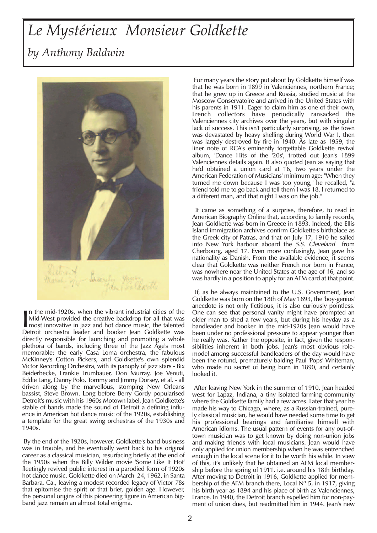## *Le Mystérieux Monsieur Goldkette by Anthony Baldwin*



In the mid-1920s, when the vibrant industrial cities of the<br>
Mid-West provided the creative backdrop for all that was<br>
most innovative in jazz and hot dance music, the talented<br>
Detroit, orchestral leader, and booker Jean n the mid-1920s, when the vibrant industrial cities of the Mid-West provided the creative backdrop for all that was Detroit orchestra leader and booker Jean Goldkette was directly responsible for launching and promoting a whole plethora of bands, including three of the Jazz Age's most memorable: the early Casa Loma orchestra, the fabulous McKinney's Cotton Pickers, and Goldkette's own splendid Victor Recording Orchestra, with its panoply of jazz stars - Bix Beiderbecke, Frankie Trumbauer, Don Murray, Joe Venuti, Eddie Lang, Danny Polo, Tommy and Jimmy Dorsey, et al. - all driven along by the marvellous, stomping New Orleans bassist, Steve Brown. Long before Berry Gordy popularised Detroit's music with his 1960s Motown label, Jean Goldkette's stable of bands made the sound of Detroit a defining influence in American hot dance music of the 1920s, establishing a template for the great swing orchestras of the 1930s and 1940s.

By the end of the 1920s, however, Goldkette's band business was in trouble, and he eventually went back to his original career as a classical musician, resurfacing briefly at the end of the 1950s when the Billy Wilder movie 'Some Like It Hot' fleetingly revived public interest in a parodied form of 1920s hot dance music. Goldkette died on March 24, 1962, in Santa Barbara, Ca., leaving a modest recorded legacy of Victor 78s that epitomise the spirit of that brief, golden age. However, the personal origins of this pioneering figure in American bigband jazz remain an almost total enigma.

For many years the story put about by Goldkette himself was that he was born in 1899 in Valenciennes, northern France; that he grew up in Greece and Russia, studied music at the Moscow Conservatoire and arrived in the United States with his parents in 1911. Eager to claim him as one of their own, French collectors have periodically ransacked the Valenciennes city archives over the years, but with singular lack of success. This isn't particularly surprising, as the town was devastated by heavy shelling during World War I, then was largely destroyed by fire in 1940. As late as 1959, the liner note of RCA's eminently forgettable Goldkette revival album, 'Dance Hits of the '20s', trotted out Jean's 1899 Valenciennes details again. It also quoted Jean as saying that he'd obtained a union card at 16, two years under the American Federation of Musicians' minimum age: "When they turned me down because I was too young," he recalled, "a friend told me to go back and tell them I was 18. I returned to a different man, and that night I was on the job."

It came as something of a surprise, therefore, to read in American Biography Online that, according to family records, Jean Goldkette was born in Greece in 1893. Indeed, the Ellis Island immigration archives confirm Goldkette's birthplace as the Greek city of Patras, and that on July 17, 1910 he sailed into New York harbour aboard the S.S. Cleveland from Cherbourg, aged 17. Even more confusingly, Jean gave his nationality as Danish. From the available evidence, it seems clear that Goldkette was neither French nor born in France, was nowhere near the United States at the age of 16, and so was hardly in a position to apply for an AFM card at that point.

If, as he always maintained to the U.S. Government, Jean Goldkette was born on the 18th of May 1893, the 'boy-genius' anecdote is not only fictitious, it is also curiously pointless. One can see that personal vanity might have prompted an older man to shed a few years, but during his heyday as a bandleader and booker in the mid-1920s Jean would have been under no professional pressure to appear younger than he really was. Rather the opposite, in fact, given the responsibilities inherent in both jobs. Jean's most obvious rolemodel among successful bandleaders of the day would have been the rotund, prematurely balding Paul 'Pops' Whiteman, who made no secret of being born in 1890, and certainly looked it.

After leaving New York in the summer of 1910, Jean headed west for Lapaz, Indiana, a tiny isolated farming community where the Goldkette family had a few acres. Later that year he made his way to Chicago, where, as a Russian-trained, purely classical musician, he would have needed some time to get his professional bearings and familiarise himself with American idioms. The usual pattern of events for any out-oftown musician was to get known by doing non-union jobs and making friends with local musicians. Jean would have only applied for union membership when he was entrenched enough in the local scene for it to be worth his while. In view of this, it's unlikely that he obtained an AFM local membership before the spring of 1911, i.e. around his 18th birthday. After moving to Detroit in 1916, Goldkette applied for membership of the AFM branch there, Local  $N^{\circ}$  5, in 1917, giving his birth year as 1894 and his place of birth as Valenciennes, France. In 1940, the Detroit branch expelled him for non-payment of union dues, but readmitted him in 1944. Jean's new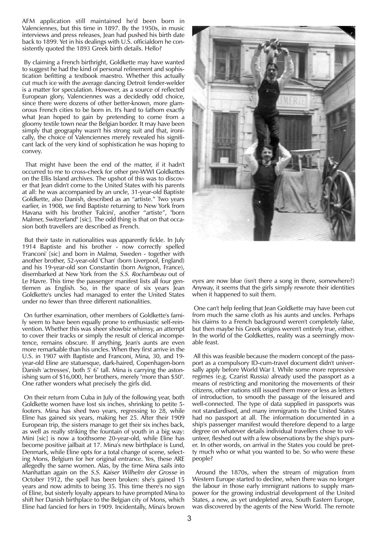AFM application still maintained he'd been born in Valenciennes, but this time in 1897. By the 1950s, in music interviews and press releases, Jean had pushed his birth date back to 1899. Yet in his dealings with U.S. officialdom he consistently quoted the 1893 Greek birth details. Hello?

By claiming a French birthright, Goldkette may have wanted to suggest he had the kind of personal refinement and sophistication befitting a textbook maestro. Whether this actually cut much ice with the average dancing Detroit fender-welder is a matter for speculation. However, as a source of reflected European glory, Valenciennes was a decidedly odd choice, since there were dozens of other better-known, more glamorous French cities to be born in. It's hard to fathom exactly what Jean hoped to gain by pretending to come from a gloomy textile town near the Belgian border. It may have been simply that geography wasn't his strong suit and that, ironically, the choice of Valenciennes merely revealed his significant lack of the very kind of sophistication he was hoping to convey.

That might have been the end of the matter, if it hadn't occurred to me to cross-check for other pre-WWI Goldkettes on the Ellis Island archives. The upshot of this was to discover that Jean didn't come to the United States with his parents at all: he was accompanied by an uncle, 31-year-old Baptiste Goldkette, also Danish, described as an "artiste." Two years earlier, in 1908, we find Baptiste returning to New York from Havana with his brother 'Falcini', another "artiste", "born Malmer, Switzerland" [sic]. The odd thing is that on that occasion both travellers are described as French.

But their taste in nationalities was apparently fickle. In July 1914 Baptiste and his brother - now correctly spelled 'Franconi' [sic] and born in Malmø, Sweden - together with another brother, 52-year-old 'Chan' (born Liverpool, England) and his 19-year-old son Constantin (born Avignon, France), disembarked at New York from the S.S. Rochambeau out of Le Havre. This time the passenger manifest lists all four gentlemen as English. So, in the space of six years Jean Goldkette's uncles had managed to enter the United States under no fewer than three different nationalities.

On further examination, other members of Goldkette's family seem to have been equally prone to enthusiastic self-reinvention. Whether this was sheer showbiz whimsy, an attempt to cover their tracks or simply the result of clerical incompetence, remains obscure. If anything, Jean's aunts are even more remarkable than his uncles. When they first arrive in the U.S. in 1907 with Baptiste and Franconi, Mina, 30, and 19 year-old Eline are statuesque, dark-haired, Copenhagen-born Danish 'actresses', both 5' 6" tall. Mina is carrying the astonishing sum of \$16,000, her brothers, merely "more than \$50". One rather wonders what precisely the girls did.

On their return from Cuba in July of the following year, both Goldkette women have lost six inches, shrinking to petite 5 footers. Mina has shed two years, regressing to 28, while Eline has gained six years, making her 25. After their 1909 European trip, the sisters manage to get their six inches back, as well as really striking the fountain of youth in a big way: Mini [sic] is now a toothsome 20-year-old, while Eline has become positive jailbait at 17. Mina's new birthplace is Lund, Denmark, while Eline opts for a total change of scene, selecting Mons, Belgium for her original entrance. Yes, these ARE allegedly the same women. Alas, by the time Mina sails into Manhattan again on the S.S. Kaiser Wilhelm der Grosse in October 1912, the spell has been broken: she's gained 15 years and now admits to being 35. This time there's no sign of Eline, but sisterly loyalty appears to have prompted Mina to shift her Danish birthplace to the Belgian city of Mons, which Eline had fancied for hers in 1909. Incidentally, Mina's brown



eyes are now blue (isn't there a song in there, somewhere?) Anyway, it seems that the girls simply rewrote their identities when it happened to suit them.

One can't help feeling that Jean Goldkette may have been cut from much the same cloth as his aunts and uncles. Perhaps his claims to a French background weren't completely false, but then maybe his Greek origins weren't entirely true, either. In the world of the Goldkettes, reality was a seemingly movable feast.

All this was feasible because the modern concept of the passport as a compulsory ID-cum-travel document didn't universally apply before World War I. While some more repressive regimes (e.g. Czarist Russia) already used the passport as a means of restricting and monitoring the movements of their citizens, other nations still issued them more or less as letters of introduction, to smooth the passage of the leisured and well-connected. The type of data supplied in passports was not standardised, and many immigrants to the United States had no passport at all. The information documented in a ship's passenger manifest would therefore depend to a large degree on whatever details individual travellers chose to volunteer, fleshed out with a few observations by the ship's purser. In other words, on arrival in the States you could be pretty much who or what you wanted to be. So who were these people?

Around the 1870s, when the stream of migration from Western Europe started to decline, when there was no longer the labour in those early immigrant nations to supply manpower for the growing industrial development of the United States, a new, as yet undepleted area, South Eastern Europe, was discovered by the agents of the New World. The remote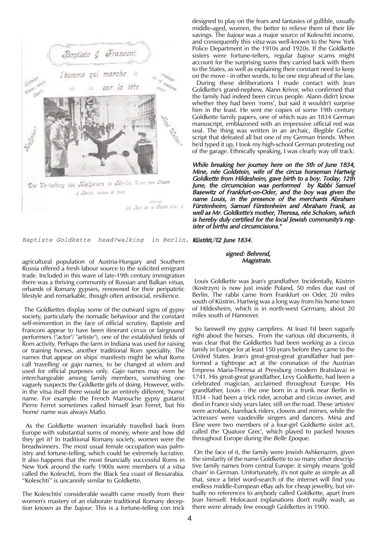

Baptiste Goldkette head?walking

agricultural population of Austria-Hungary and Southern Russia offered a fresh labour source to the solicited emigrant trade. Included in this wave of late-19th century immigration there was a thriving community of Russian and Balkan *vitsas*, orbands of Romany gypsies, renowned for their peripatetic lifestyle and remarkable, though often antisocial, resilience.

The Goldkettes display some of the outward signs of gypsy society, particularly the nomadic behaviour and the constant self-reinvention in the face of official scrutiny. Baptiste and Franconi appear to have been itinerant circus or fairground performers ("actor"/ "artiste"), one of the established fields of Rom activity. Perhaps the farm in Indiana was used for raising or training horses, another traditional Rom speciality. The names that appear on ships' manifests might be what Roms call 'travelling' or gajo names, to be changed at whim and used for official purposes only. Gajo names may even be interchangeable among family members, something one vaguely suspects the Goldkette girls of doing. However, within the vitsa itself there would be an entirely different, 'home' name. For example the French Manouche gypsy guitarist Pierre Ferret sometimes called himself Jean Ferret, but his 'home' name was always Matlo.

As the Goldkette women invariably travelled back from Europe with substantial sums of money, where and how did they get it? In traditional Romany society, women were the breadwinners. The most usual female occupation was palmistry and fortune-telling, which could be extremely lucrative. It also happens that the most financially successful Roms in New York around the early 1900s were members of a vitsa called the Koleschti, from the Black Sea coast of Bessarabia. "Koleschti" is uncannily similar to Goldkette.

The Koleschtis' considerable wealth came mostly from their women's mastery of an elaborate traditional Romany deception known as the bajour. This is a fortune-telling con trick designed to play on the fears and fantasies of gullible, usually middle-aged, women, the better to relieve them of their life savings. The bajour was a major source of Koleschti income, and consequently this vitsa was well-known to the New York Police Department in the 1910s and 1920s. If the Goldkette sisters were fortune-tellers, regular bajour scams might account for the surprising sums they carried back with them to the States, as well as explaining their constant need to keep on the move - in other words, to be one step ahead of the law.

During these deliberations I made contact with Jean Goldkette's grand-nephew, Alann Krivor, who confirmed that the family had indeed been circus people. Alann didn't know whether they had been 'roms', but said it wouldn't surprise him in the least. He sent me copies of some 19th century Goldkette family papers, one of which was an 1834 German manuscript, emblazoned with an impressive official red wax seal. The thing was written in an archaic, illegible Gothic script that defeated all but one of my German friends. When he'd typed it up, I took my high-school German protesting out of the garage. Ethnically speaking, I was clearly way off track:

While breaking her journey here on the 5th of June 1834, Mine, née Goldstein, wife of the circus horseman Hartwig Goldkette from Hildesheim, gave birth to a boy. Today, 12th June, the circumcision was performed by Rabbi Samuel Basewitz of Frankfurt-on-Oder, and the boy was given the name Louis, in the presence of the merchants Abraham Fürstenheim, Samuel Fürstenheim and Abraham Frank, as well as Mr. Goldkette's mother, Theresa, née Scholom, which is hereby duly certified for the local Jewish community's register of births and circumcisions."

in Berlin, Küstfin, OTD June 1834.

## signed: Behrend, Magistrate.

Louis Goldkette was Jean's grandfather. Incidentally, Küstrin (Kostrzyn) is now just inside Poland, 50 miles due east of Berlin. The rabbi came from Frankfurt on Oder, 20 miles south of Küstrin. Hartwig was a long way from his home town of Hildesheim, which is in north-west Germany, about 20 miles south of Hannover.

So farewell my gypsy campfires. At least I'd been vaguely right about the horses. From the various old documents, it was clear that the Goldkettes had been working as a circus family in Europe for at least 150 years before they came to the United States. Jean's great-great-great grandfather had performed a tightrope act at the coronation of the Austrian Empress Maria-Theresa at Pressburg (modern Bratislava) in 1741. His great-great grandfather, Levy Goldkette, had been a celebrated magician, acclaimed throughout Europe. His grandfather, Louis - the one born in a trunk near Berlin in 1834 - had been a trick rider, acrobat and circus owner, and died in France sixty years later, still on the road. These 'artistes' were acrobats, bareback riders, clowns and mimes, while the 'actresses' were vaudeville singers and dancers. Mina and Eline were two members of a four-girl Goldkette sister act, called the 'Quatuor Grec', which played to packed houses throughout Europe during the Belle Epoque.

On the face of it, the family were Jewish Ashkenazim, given the similarity of the name Goldkette to so many other descriptive family names from central Europe: it simply means "gold chain" in German. Unfortunately, it's not quite as simple as all that, since a brief word-search of the internet will find you endless middle-European eBay ads for cheap jewellry, but virtually no references to anybody called Goldkette, apart from Jean himself. Holocaust explanations don't really wash, as there were already few enough Goldkettes in 1900.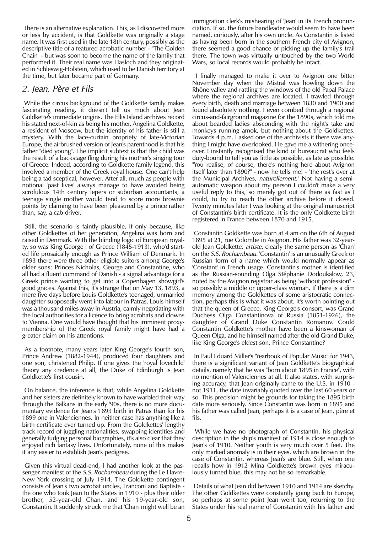There is an alternative explanation. This, as I discovered more or less by accident, is that Goldkette was originally a stage name. It was first used in the late 18th century, possibly as the descriptive title of a featured acrobatic number - "The Golden Chain" - but was soon to become the name of the family that performed it. Their real name was Hasloch and they originated in Schleswig-Holstein, which used to be Danish territory at the time, but later became part of Germany.

## 2. Jean, Père et Fils

While the circus background of the Goldkette family makes fascinating reading, it doesn't tell us much about Jean Goldkette's immediate origins. The Ellis Island archives record his stated next-of-kin as being his mother, Angelina Goldkette, a resident of Moscow, but the identity of his father is still a mystery. With the lace-curtain propriety of late-Victorian Europe, the airbrushed version of Jean's parenthood is that his father "died young". The implicit subtext is that the child was the result of a backstage fling during his mother's singing tour of Greece. Indeed, according to Goldkette family legend, this involved a member of the Greek royal house. One can't help being a tad sceptical, however. After all, much as people with notional 'past lives' always manage to have avoided being scrofulous 14th century lepers or suburban accountants, a teenage single mother would tend to score more brownie points by claiming to have been pleasured by a prince rather than, say, a cab driver.

Still, the scenario is faintly plausible, if only because, like other Goldkettes of her generation, Angelina was born and raised in Denmark. With the blinding logic of European royalty, so was King George I of Greece (1845-1913), who'd started life prosaically enough as Prince William of Denmark. In 1893 there were three other eligible suitors among George's older sons: Princes Nicholas, George and Constantine, who all had a fluent command of Danish - a signal advantage for a Greek prince wanting to get into a Copenhagen showgirl's good graces. Against this, it's strange that on May 13, 1893, a mere five days before Louis Goldkette's teenaged, unmarried daughter supposedly went into labour in Patras, Louis himself was a thousand miles away in Austria, calmly negotiating with the local authorities for a licence to bring acrobats and clowns to Vienna. One would have thought that his imminent proxymembership of the Greek royal family might have had a greater claim on his attentions.

As a footnote, many years later King George's fourth son, Prince Andrew (1882-1944), produced four daughters and one son, christened Philip. If one gives the 'royal lovechild' theory any credence at all, the Duke of Edinburgh is Jean Goldkette's first cousin.

On balance, the inference is that, while Angelina Goldkette and her sisters are definitely known to have warbled their way through the Balkans in the early '90s, there is no more documentary evidence for Jean's 1893 birth in Patras than for his 1899 one in Valenciennes. In neither case has anything like a birth certificate ever turned up. From the Goldkettes' lengthy track record of juggling nationalities, swapping identities and generally fudging personal biographies, it's also clear that they enjoyed rich fantasy lives. Unfortunately, none of this makes it any easier to establish Jean's pedigree.

Given this virtual dead-end, I had another look at the passenger manifest of the *S.S. Rochambeau* during the Le Havre-New York crossing of July 1914. The Goldkette contingent consists of Jean's two acrobat uncles, Franconi and Baptiste the one who took Jean to the States in 1910 - plus their older brother, 52-year-old Chan, and his 19-year-old son, Constantin. It suddenly struck me that 'Chan' might well be an immigration clerk's mishearing of 'Jean' in its French pronunciation. If so, the future bandleader would seem to have been named, curiously, after his own uncle. As Constantin is listed as having been born in the southern French city of Avignon, there seemed a good chance of picking up the family's trail there. The town was virtually untouched by the two World Wars, so local records would probably be intact.

I finally managed to make it over to Avignon one bitter November day when the Mistral was howling down the Rhône valley and rattling the windows of the old Papal Palace where the regional archives are located. I trawled through every birth, death and marriage between 1830 and 1900 and found absolutely nothing. I even combed through a regional circus-and-fairground magazine for the 1890s, which told me about bearded ladies absconding with the night's take and monkeys running amok, but nothing about the Goldkettes. Towards 4 p.m. I asked one of the archivists if there was anything I might have overlooked. He gave me a withering onceover. I instantly recognised the kind of bureaucrat who feels duty-bound to tell you as little as possible, as late as possible. "You realise, of course, there's nothing here about Avignon itself later than 1890?" - now he tells me! - "the rest's over at the Municipal Archives, naturellement." Not having a semiautomatic weapon about my person I couldn't make a very useful reply to this, so merely got out of there as fast as I could, to try to reach the other archive before it closed. Twenty minutes later I was looking at the original manuscript of Constantin's birth certificate. It is the only Goldkette birth registered in France between 1870 and 1915.

Constantin Goldkette was born at 4 am on the 6th of August 1895 at 21, rue Colombe in Avignon. His father was 32-yearold Jean Goldkette, artiste, clearly the same person as 'Chan' on the S.S. Rochambeau. 'Constantin' is an unusually Greek or Russian form of a name which would normally appear as 'Constant' in French usage. Constantin's mother is identified as the Russian-sounding Olga Stéphanie Dodoukalow, 23, noted by the Avignon registrar as being "without profession" so possibly a middle or upper-class woman. If there is a dim memory among the Goldkettes of some aristocratic connection, perhaps this is what it was about. It's worth pointing out that the queen of Greece, King George's consort, was Grand Duchess Olga Constantinova of Russia (1851-1926), the daughter of Grand Duke Constantin Romanov. Could Constantin Goldkette's mother have been a kinswoman of Queen Olga, and he himself named after the old Grand Duke, like King George's eldest son, Prince Constantine?

In Paul Eduard Miller's 'Yearbook of Popular Music' for 1943, there is a significant variant of Jean Goldkette's biographical details, namely that he was "born about 1895 in France", with no mention of Valenciennes at all. It also states, with surprising accuracy, that Jean originally came to the U.S. in 1910 not 1911, the date invariably quoted over the last 60 years or so. This precision might be grounds for taking the 1895 birth date more seriously. Since Constantin was born in 1895 and his father was called Jean, perhaps it is a case of Jean, père et fils.

While we have no photograph of Constantin, his physical description in the ship's manifest of 1914 is close enough to Jean's of 1910. Neither youth is very much over 5 feet. The only marked anomaly is in their eyes, which are brown in the case of Constantin, whereas Jean's are blue. Still, when one recalls how in 1912 Mina Goldkette's brown eyes miraculously turned blue, this may not be so remarkable.

Details of what Jean did between 1910 and 1914 are sketchy. The other Goldkettes were constantly going back to Europe, so perhaps at some point Jean went too, returning to the States under his real name of Constantin with his father and